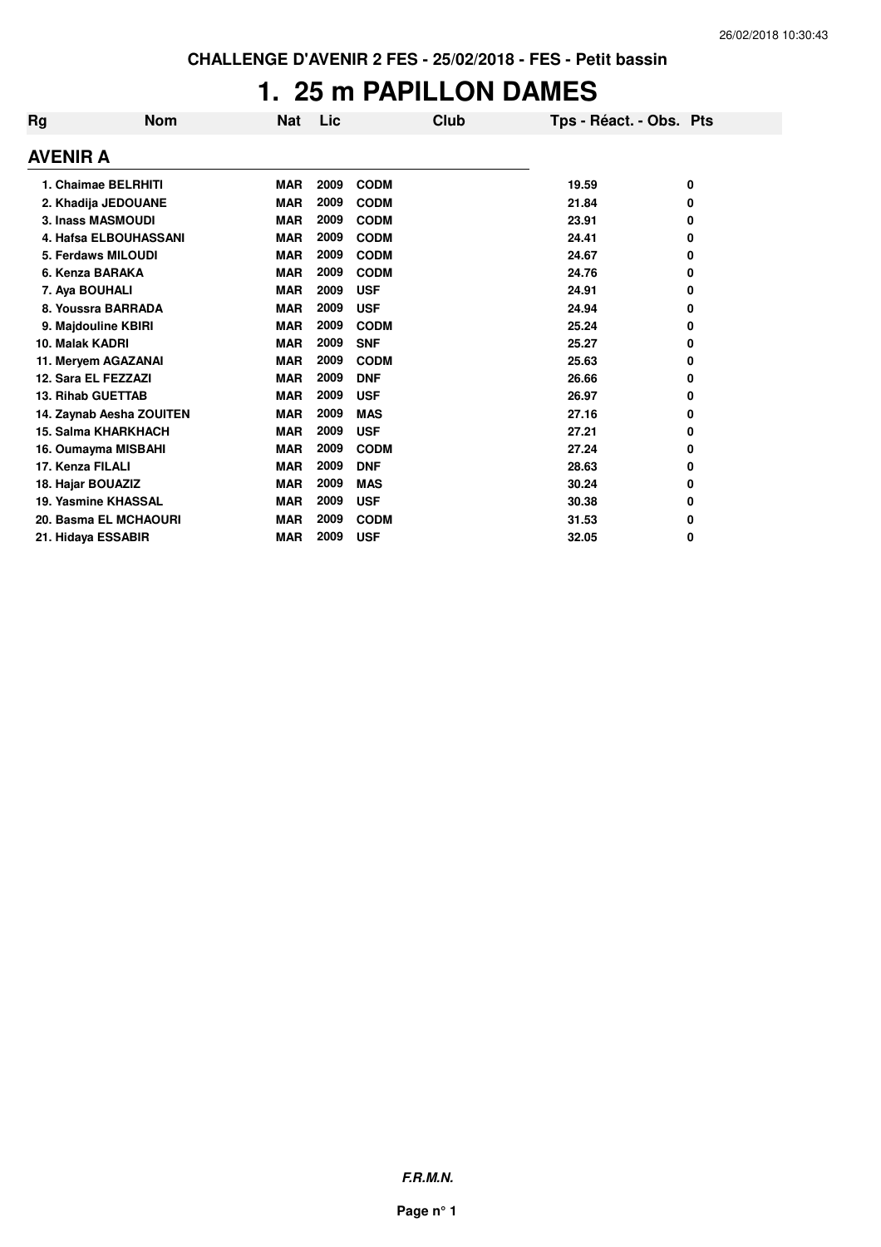# **1. 25 m PAPILLON DAMES**

| Rg                         | <b>Nom</b> | <b>Nat</b> | Lic  |             | Club | Tps - Réact. - Obs. Pts |   |
|----------------------------|------------|------------|------|-------------|------|-------------------------|---|
| <b>AVENIR A</b>            |            |            |      |             |      |                         |   |
| 1. Chaimae BELRHITI        |            | <b>MAR</b> | 2009 | <b>CODM</b> |      | 19.59                   | 0 |
| 2. Khadija JEDOUANE        |            | <b>MAR</b> | 2009 | <b>CODM</b> |      | 21.84                   | 0 |
| <b>3. Inass MASMOUDI</b>   |            | <b>MAR</b> | 2009 | <b>CODM</b> |      | 23.91                   | 0 |
| 4. Hafsa ELBOUHASSANI      |            | <b>MAR</b> | 2009 | <b>CODM</b> |      | 24.41                   | 0 |
| 5. Ferdaws MILOUDI         |            | <b>MAR</b> | 2009 | <b>CODM</b> |      | 24.67                   | 0 |
| 6. Kenza BARAKA            |            | <b>MAR</b> | 2009 | <b>CODM</b> |      | 24.76                   | 0 |
| 7. Aya BOUHALI             |            | <b>MAR</b> | 2009 | <b>USF</b>  |      | 24.91                   | 0 |
| 8. Youssra BARRADA         |            | <b>MAR</b> | 2009 | <b>USF</b>  |      | 24.94                   | 0 |
| 9. Majdouline KBIRI        |            | <b>MAR</b> | 2009 | <b>CODM</b> |      | 25.24                   | 0 |
| 10. Malak KADRI            |            | <b>MAR</b> | 2009 | <b>SNF</b>  |      | 25.27                   | 0 |
| 11. Meryem AGAZANAI        |            | <b>MAR</b> | 2009 | <b>CODM</b> |      | 25.63                   | 0 |
| 12. Sara EL FEZZAZI        |            | <b>MAR</b> | 2009 | <b>DNF</b>  |      | 26.66                   | 0 |
| <b>13. Rihab GUETTAB</b>   |            | <b>MAR</b> | 2009 | <b>USF</b>  |      | 26.97                   | 0 |
| 14. Zaynab Aesha ZOUITEN   |            | <b>MAR</b> | 2009 | <b>MAS</b>  |      | 27.16                   | 0 |
| <b>15. Salma KHARKHACH</b> |            | <b>MAR</b> | 2009 | <b>USF</b>  |      | 27.21                   | 0 |
| 16. Oumayma MISBAHI        |            | <b>MAR</b> | 2009 | <b>CODM</b> |      | 27.24                   | 0 |
| 17. Kenza FILALI           |            | <b>MAR</b> | 2009 | <b>DNF</b>  |      | 28.63                   | 0 |
| 18. Hajar BOUAZIZ          |            | <b>MAR</b> | 2009 | <b>MAS</b>  |      | 30.24                   | 0 |
| 19. Yasmine KHASSAL        |            | <b>MAR</b> | 2009 | <b>USF</b>  |      | 30.38                   | 0 |
| 20. Basma EL MCHAOURI      |            | <b>MAR</b> | 2009 | <b>CODM</b> |      | 31.53                   | 0 |
| 21. Hidaya ESSABIR         |            | <b>MAR</b> | 2009 | <b>USF</b>  |      | 32.05                   | 0 |

**F.R.M.N.**

**Page n° 1**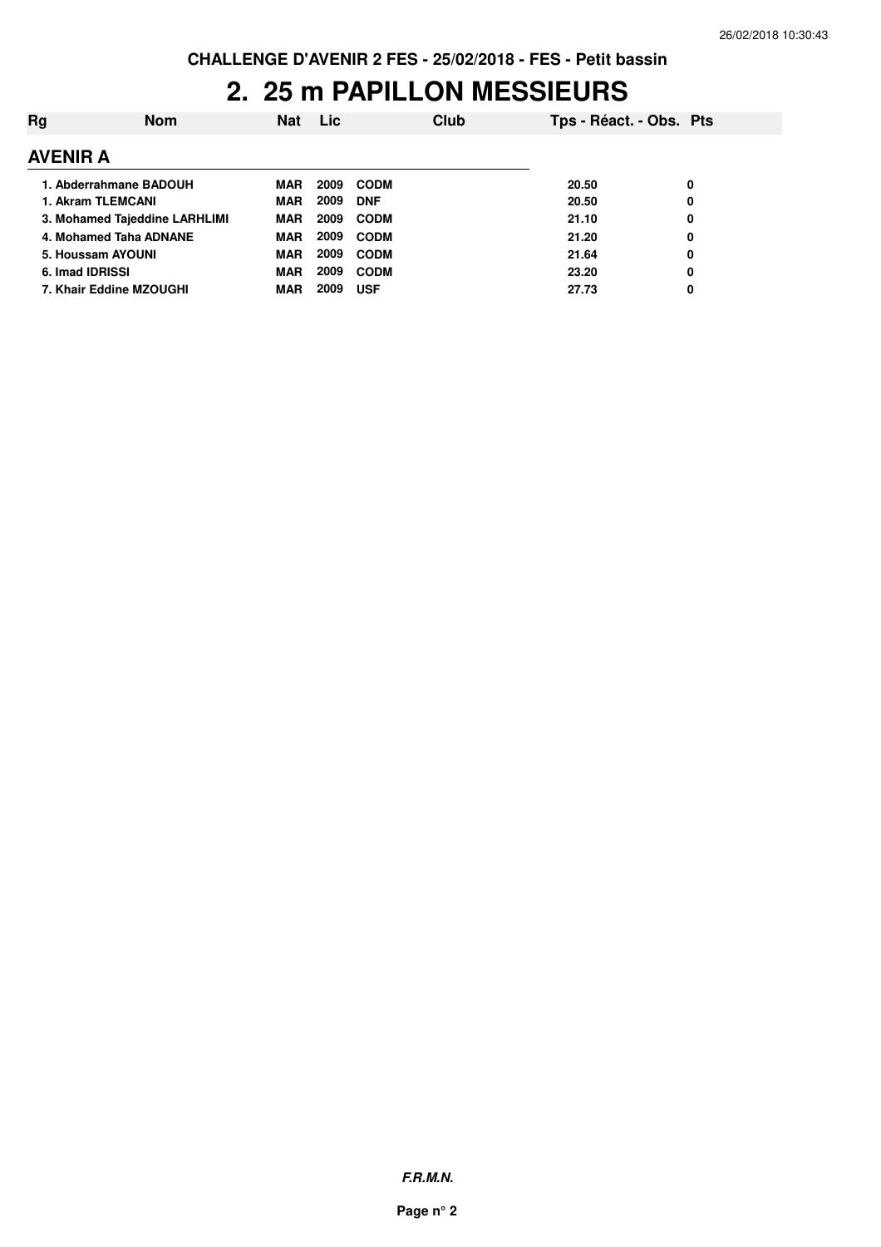### **2. 25 m PAPILLON MESSIEURS**

| Rg              | <b>Nom</b>                    | <b>Nat</b> | Lic  |             | Club | Tps - Réact. - Obs. Pts |   |
|-----------------|-------------------------------|------------|------|-------------|------|-------------------------|---|
| <b>AVENIR A</b> |                               |            |      |             |      |                         |   |
|                 | 1. Abderrahmane BADOUH        | MAR        | 2009 | <b>CODM</b> |      | 20.50                   | 0 |
|                 | 1. Akram TLEMCANI             | <b>MAR</b> | 2009 | <b>DNF</b>  |      | 20.50                   | 0 |
|                 | 3. Mohamed Tajeddine LARHLIMI | <b>MAR</b> | 2009 | <b>CODM</b> |      | 21.10                   | 0 |
|                 | 4. Mohamed Taha ADNANE        | MAR        | 2009 | <b>CODM</b> |      | 21.20                   | 0 |
|                 | 5. Houssam AYOUNI             | MAR        | 2009 | <b>CODM</b> |      | 21.64                   | 0 |
| 6. Imad IDRISSI |                               | <b>MAR</b> | 2009 | <b>CODM</b> |      | 23.20                   | 0 |
|                 | 7. Khair Eddine MZOUGHI       | MAR        | 2009 | <b>USF</b>  |      | 27.73                   | 0 |
|                 |                               |            |      |             |      |                         |   |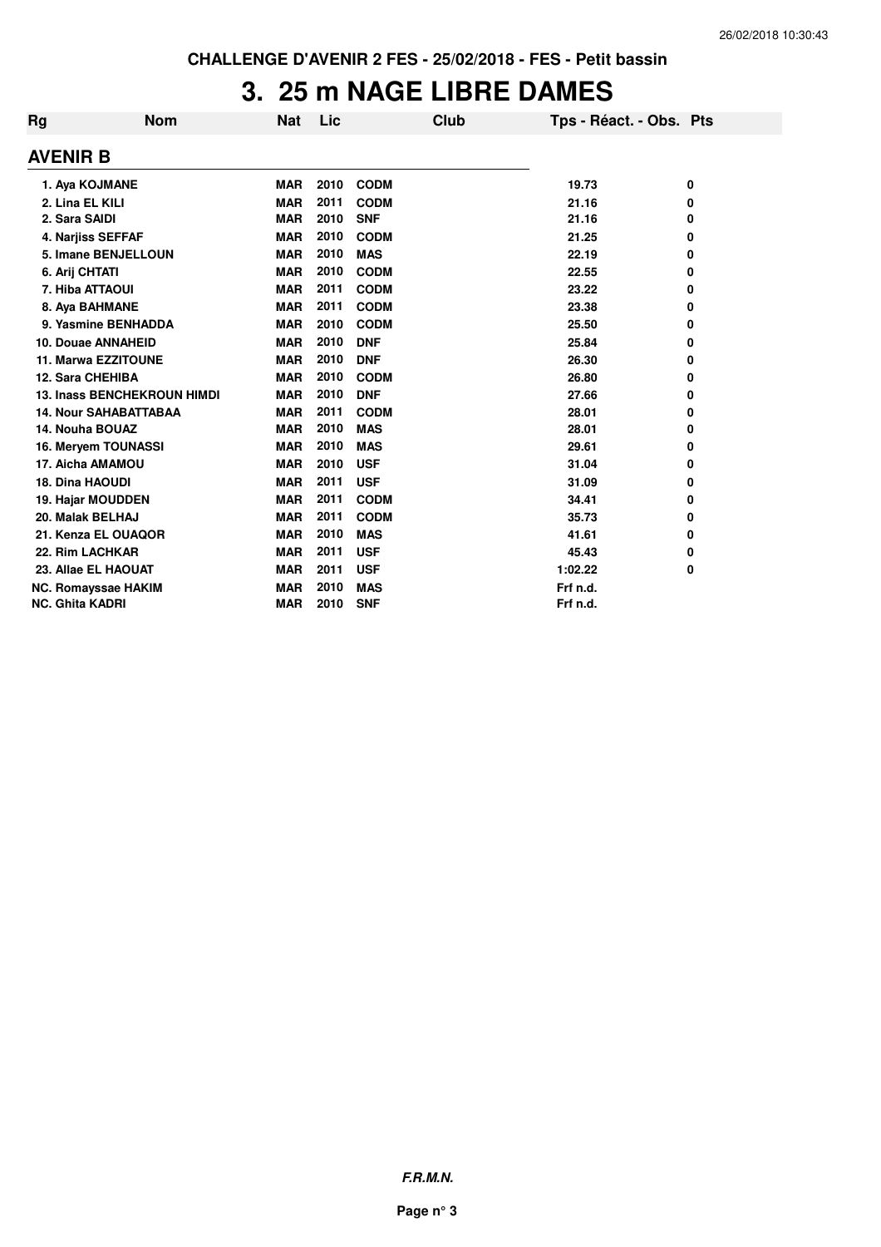# **3. 25 m NAGE LIBRE DAMES**

| Rg                     | <b>Nom</b>                         | Nat        | Lic  | Club        | Tps - Réact. - Obs. Pts |   |
|------------------------|------------------------------------|------------|------|-------------|-------------------------|---|
| AVENIR B               |                                    |            |      |             |                         |   |
|                        | 1. Aya KOJMANE                     | <b>MAR</b> | 2010 | <b>CODM</b> | 19.73                   | 0 |
| 2. Lina EL KILI        |                                    | <b>MAR</b> | 2011 | <b>CODM</b> | 21.16                   | 0 |
| 2. Sara SAIDI          |                                    | <b>MAR</b> | 2010 | <b>SNF</b>  | 21.16                   | 0 |
|                        | 4. Narjiss SEFFAF                  | <b>MAR</b> | 2010 | <b>CODM</b> | 21.25                   | 0 |
|                        | 5. Imane BENJELLOUN                | <b>MAR</b> | 2010 | <b>MAS</b>  | 22.19                   | 0 |
| 6. Arij CHTATI         |                                    | <b>MAR</b> | 2010 | <b>CODM</b> | 22.55                   | 0 |
|                        | 7. Hiba ATTAOUI                    | <b>MAR</b> | 2011 | <b>CODM</b> | 23.22                   | 0 |
|                        | 8. Aya BAHMANE                     | <b>MAR</b> | 2011 | <b>CODM</b> | 23.38                   | 0 |
|                        | 9. Yasmine BENHADDA                | <b>MAR</b> | 2010 | <b>CODM</b> | 25.50                   | 0 |
|                        | 10. Douae ANNAHEID                 | <b>MAR</b> | 2010 | <b>DNF</b>  | 25.84                   | 0 |
|                        | 11. Marwa EZZITOUNE                | <b>MAR</b> | 2010 | <b>DNF</b>  | 26.30                   | 0 |
|                        | 12. Sara CHEHIBA                   | <b>MAR</b> | 2010 | <b>CODM</b> | 26.80                   | 0 |
|                        | <b>13. Inass BENCHEKROUN HIMDI</b> | <b>MAR</b> | 2010 | <b>DNF</b>  | 27.66                   | 0 |
|                        | <b>14. Nour SAHABATTABAA</b>       | <b>MAR</b> | 2011 | <b>CODM</b> | 28.01                   | 0 |
| 14. Nouha BOUAZ        |                                    | <b>MAR</b> | 2010 | <b>MAS</b>  | 28.01                   | 0 |
|                        | 16. Meryem TOUNASSI                | <b>MAR</b> | 2010 | <b>MAS</b>  | 29.61                   | 0 |
|                        | 17. Aicha AMAMOU                   | <b>MAR</b> | 2010 | <b>USF</b>  | 31.04                   | 0 |
| <b>18. Dina HAOUDI</b> |                                    | <b>MAR</b> | 2011 | <b>USF</b>  | 31.09                   | 0 |
|                        | 19. Hajar MOUDDEN                  | <b>MAR</b> | 2011 | <b>CODM</b> | 34.41                   | 0 |
|                        | 20. Malak BELHAJ                   | <b>MAR</b> | 2011 | <b>CODM</b> | 35.73                   | 0 |
|                        | 21. Kenza EL OUAQOR                | <b>MAR</b> | 2010 | <b>MAS</b>  | 41.61                   | 0 |
|                        | 22. Rim LACHKAR                    | <b>MAR</b> | 2011 | <b>USF</b>  | 45.43                   | 0 |
|                        | 23. Allae EL HAOUAT                | <b>MAR</b> | 2011 | <b>USF</b>  | 1:02.22                 | 0 |
|                        | <b>NC. Romayssae HAKIM</b>         | <b>MAR</b> | 2010 | <b>MAS</b>  | Frf n.d.                |   |
| <b>NC. Ghita KADRI</b> |                                    | <b>MAR</b> | 2010 | <b>SNF</b>  | Frf n.d.                |   |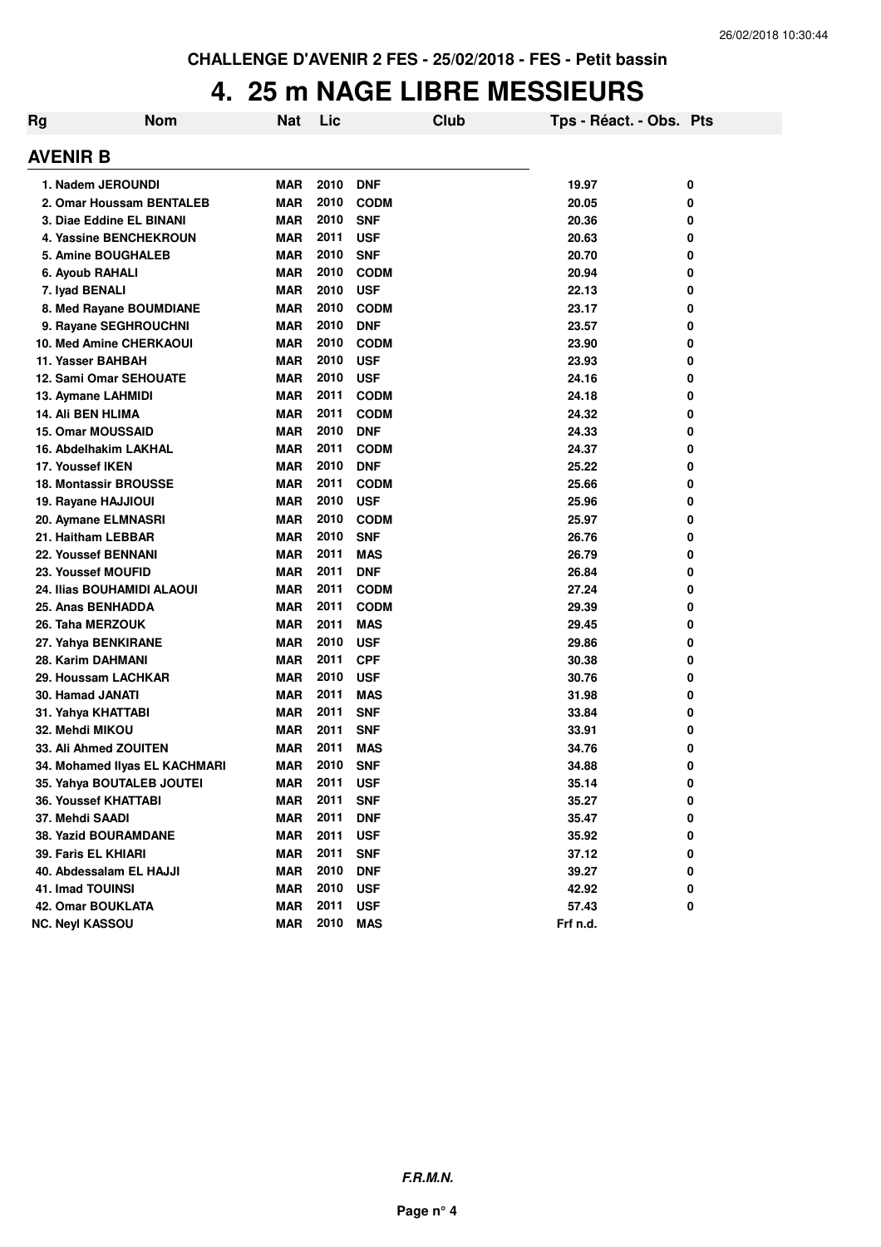#### **4. 25 m NAGE LIBRE MESSIEURS**

| Rg              | <b>Nom</b>                    | Nat        | Lic  | Club        | Tps - Réact. - Obs. Pts |   |
|-----------------|-------------------------------|------------|------|-------------|-------------------------|---|
| <b>AVENIR B</b> |                               |            |      |             |                         |   |
|                 | 1. Nadem JEROUNDI             | MAR        | 2010 | <b>DNF</b>  | 19.97                   | 0 |
|                 | 2. Omar Houssam BENTALEB      | <b>MAR</b> | 2010 | <b>CODM</b> | 20.05                   | 0 |
|                 | 3. Diae Eddine EL BINANI      | <b>MAR</b> | 2010 | <b>SNF</b>  | 20.36                   | 0 |
|                 | <b>4. Yassine BENCHEKROUN</b> | <b>MAR</b> | 2011 | <b>USF</b>  | 20.63                   | 0 |
|                 | 5. Amine BOUGHALEB            | <b>MAR</b> | 2010 | <b>SNF</b>  | 20.70                   | 0 |
|                 | 6. Ayoub RAHALI               | <b>MAR</b> | 2010 | <b>CODM</b> | 20.94                   | 0 |
|                 | 7. Iyad BENALI                | <b>MAR</b> | 2010 | <b>USF</b>  | 22.13                   | 0 |
|                 | 8. Med Rayane BOUMDIANE       | <b>MAR</b> | 2010 | <b>CODM</b> | 23.17                   | 0 |
|                 | 9. Rayane SEGHROUCHNI         | <b>MAR</b> | 2010 | <b>DNF</b>  | 23.57                   | 0 |
|                 | 10. Med Amine CHERKAOUI       | <b>MAR</b> | 2010 | <b>CODM</b> | 23.90                   | 0 |
|                 | 11. Yasser BAHBAH             | <b>MAR</b> | 2010 | <b>USF</b>  | 23.93                   | 0 |
|                 | 12. Sami Omar SEHOUATE        | <b>MAR</b> | 2010 | <b>USF</b>  | 24.16                   | 0 |
|                 | 13. Aymane LAHMIDI            | <b>MAR</b> | 2011 | <b>CODM</b> | 24.18                   | 0 |
|                 | <b>14. Ali BEN HLIMA</b>      | <b>MAR</b> | 2011 | <b>CODM</b> | 24.32                   | 0 |
|                 | <b>15. Omar MOUSSAID</b>      | <b>MAR</b> | 2010 | <b>DNF</b>  | 24.33                   | 0 |
|                 | 16. Abdelhakim LAKHAL         | <b>MAR</b> | 2011 | <b>CODM</b> | 24.37                   | 0 |
|                 | 17. Youssef IKEN              | <b>MAR</b> | 2010 | <b>DNF</b>  | 25.22                   | 0 |
|                 | <b>18. Montassir BROUSSE</b>  | <b>MAR</b> | 2011 | <b>CODM</b> | 25.66                   | 0 |
|                 | 19. Rayane HAJJIOUI           | <b>MAR</b> | 2010 | <b>USF</b>  | 25.96                   | 0 |
|                 | 20. Aymane ELMNASRI           | <b>MAR</b> | 2010 | <b>CODM</b> | 25.97                   | 0 |
|                 | 21. Haitham LEBBAR            | <b>MAR</b> | 2010 | <b>SNF</b>  | 26.76                   | 0 |
|                 | 22. Youssef BENNANI           | <b>MAR</b> | 2011 | <b>MAS</b>  | 26.79                   | 0 |
|                 | 23. Youssef MOUFID            | <b>MAR</b> | 2011 | <b>DNF</b>  | 26.84                   | 0 |
|                 | 24. Ilias BOUHAMIDI ALAOUI    | <b>MAR</b> | 2011 | <b>CODM</b> | 27.24                   | 0 |
|                 | 25. Anas BENHADDA             | <b>MAR</b> | 2011 | <b>CODM</b> | 29.39                   | 0 |
|                 | 26. Taha MERZOUK              | MAR        | 2011 | <b>MAS</b>  | 29.45                   | 0 |
|                 | 27. Yahya BENKIRANE           | <b>MAR</b> | 2010 | <b>USF</b>  | 29.86                   | 0 |
|                 | 28. Karim DAHMANI             | <b>MAR</b> | 2011 | <b>CPF</b>  | 30.38                   | 0 |
|                 | 29. Houssam LACHKAR           | <b>MAR</b> | 2010 | <b>USF</b>  | 30.76                   | 0 |
|                 | <b>30. Hamad JANATI</b>       | <b>MAR</b> | 2011 | <b>MAS</b>  | 31.98                   | 0 |
|                 | 31. Yahya KHATTABI            | <b>MAR</b> | 2011 | <b>SNF</b>  | 33.84                   | 0 |
|                 | 32. Mehdi MIKOU               | <b>MAR</b> | 2011 | <b>SNF</b>  | 33.91                   | 0 |
|                 | 33. Ali Ahmed ZOUITEN         | MAR        | 2011 | <b>MAS</b>  | 34.76                   | 0 |
|                 | 34. Mohamed Ilyas EL KACHMARI | <b>MAR</b> | 2010 | <b>SNF</b>  | 34.88                   | 0 |
|                 | 35. Yahya BOUTALEB JOUTEI     | <b>MAR</b> | 2011 | <b>USF</b>  | 35.14                   | 0 |
|                 | 36. Youssef KHATTABI          | <b>MAR</b> | 2011 | <b>SNF</b>  | 35.27                   | 0 |
|                 | 37. Mehdi SAADI               | <b>MAR</b> | 2011 | <b>DNF</b>  | 35.47                   | 0 |
|                 | 38. Yazid BOURAMDANE          | <b>MAR</b> | 2011 | <b>USF</b>  | 35.92                   | 0 |
|                 | 39. Faris EL KHIARI           | <b>MAR</b> | 2011 | <b>SNF</b>  | 37.12                   | 0 |
|                 | 40. Abdessalam EL HAJJI       | <b>MAR</b> | 2010 | <b>DNF</b>  | 39.27                   | 0 |
|                 | <b>41. Imad TOUINSI</b>       | <b>MAR</b> | 2010 | <b>USF</b>  | 42.92                   | 0 |
|                 | 42. Omar BOUKLATA             | <b>MAR</b> | 2011 | <b>USF</b>  | 57.43                   | 0 |
|                 | <b>NC. Neyl KASSOU</b>        | <b>MAR</b> | 2010 | <b>MAS</b>  | Frf n.d.                |   |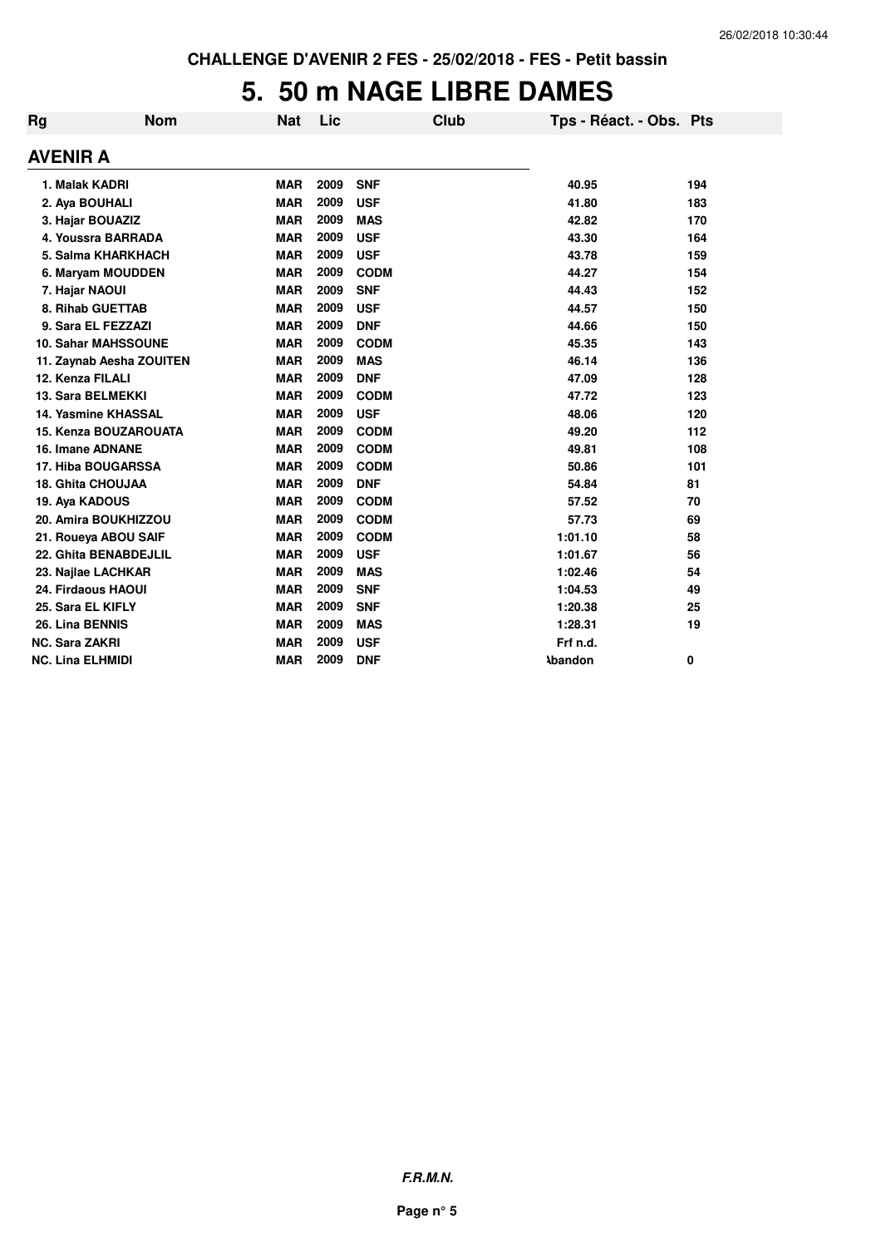# **5. 50 m NAGE LIBRE DAMES**

| Rg                      | <b>Nom</b>                | Nat        | Lic  |             | Club | Tps - Réact. - Obs. Pts |     |
|-------------------------|---------------------------|------------|------|-------------|------|-------------------------|-----|
| <b>AVENIR A</b>         |                           |            |      |             |      |                         |     |
| 1. Malak KADRI          |                           | <b>MAR</b> | 2009 | <b>SNF</b>  |      | 40.95                   | 194 |
| 2. Aya BOUHALI          |                           | <b>MAR</b> | 2009 | <b>USF</b>  |      | 41.80                   | 183 |
|                         | 3. Hajar BOUAZIZ          | <b>MAR</b> | 2009 | <b>MAS</b>  |      | 42.82                   | 170 |
|                         | 4. Youssra BARRADA        | <b>MAR</b> | 2009 | <b>USF</b>  |      | 43.30                   | 164 |
|                         | 5. Salma KHARKHACH        | <b>MAR</b> | 2009 | <b>USF</b>  |      | 43.78                   | 159 |
|                         | 6. Maryam MOUDDEN         | <b>MAR</b> | 2009 | <b>CODM</b> |      | 44.27                   | 154 |
| 7. Hajar NAOUI          |                           | <b>MAR</b> | 2009 | <b>SNF</b>  |      | 44.43                   | 152 |
|                         | 8. Rihab GUETTAB          | <b>MAR</b> | 2009 | <b>USF</b>  |      | 44.57                   | 150 |
|                         | 9. Sara EL FEZZAZI        | <b>MAR</b> | 2009 | <b>DNF</b>  |      | 44.66                   | 150 |
|                         | 10. Sahar MAHSSOUNE       | <b>MAR</b> | 2009 | <b>CODM</b> |      | 45.35                   | 143 |
|                         | 11. Zaynab Aesha ZOUITEN  | <b>MAR</b> | 2009 | <b>MAS</b>  |      | 46.14                   | 136 |
| 12. Kenza FILALI        |                           | <b>MAR</b> | 2009 | <b>DNF</b>  |      | 47.09                   | 128 |
|                         | 13. Sara BELMEKKI         | <b>MAR</b> | 2009 | <b>CODM</b> |      | 47.72                   | 123 |
|                         | 14. Yasmine KHASSAL       | <b>MAR</b> | 2009 | <b>USF</b>  |      | 48.06                   | 120 |
|                         | 15. Kenza BOUZAROUATA     | <b>MAR</b> | 2009 | <b>CODM</b> |      | 49.20                   | 112 |
|                         | <b>16. Imane ADNANE</b>   | <b>MAR</b> | 2009 | <b>CODM</b> |      | 49.81                   | 108 |
|                         | <b>17. Hiba BOUGARSSA</b> | <b>MAR</b> | 2009 | <b>CODM</b> |      | 50.86                   | 101 |
|                         | 18. Ghita CHOUJAA         | <b>MAR</b> | 2009 | <b>DNF</b>  |      | 54.84                   | 81  |
| 19. Aya KADOUS          |                           | <b>MAR</b> | 2009 | <b>CODM</b> |      | 57.52                   | 70  |
|                         | 20. Amira BOUKHIZZOU      | <b>MAR</b> | 2009 | <b>CODM</b> |      | 57.73                   | 69  |
|                         | 21. Roueya ABOU SAIF      | <b>MAR</b> | 2009 | <b>CODM</b> |      | 1:01.10                 | 58  |
|                         | 22. Ghita BENABDEJLIL     | <b>MAR</b> | 2009 | <b>USF</b>  |      | 1:01.67                 | 56  |
|                         | 23. Najlae LACHKAR        | <b>MAR</b> | 2009 | <b>MAS</b>  |      | 1:02.46                 | 54  |
|                         | 24. Firdaous HAOUI        | <b>MAR</b> | 2009 | <b>SNF</b>  |      | 1:04.53                 | 49  |
| 25. Sara EL KIFLY       |                           | <b>MAR</b> | 2009 | <b>SNF</b>  |      | 1:20.38                 | 25  |
| 26. Lina BENNIS         |                           | <b>MAR</b> | 2009 | <b>MAS</b>  |      | 1:28.31                 | 19  |
| <b>NC. Sara ZAKRI</b>   |                           | <b>MAR</b> | 2009 | <b>USF</b>  |      | Frf n.d.                |     |
| <b>NC. Lina ELHMIDI</b> |                           | <b>MAR</b> | 2009 | <b>DNF</b>  |      | <b>Abandon</b>          | 0   |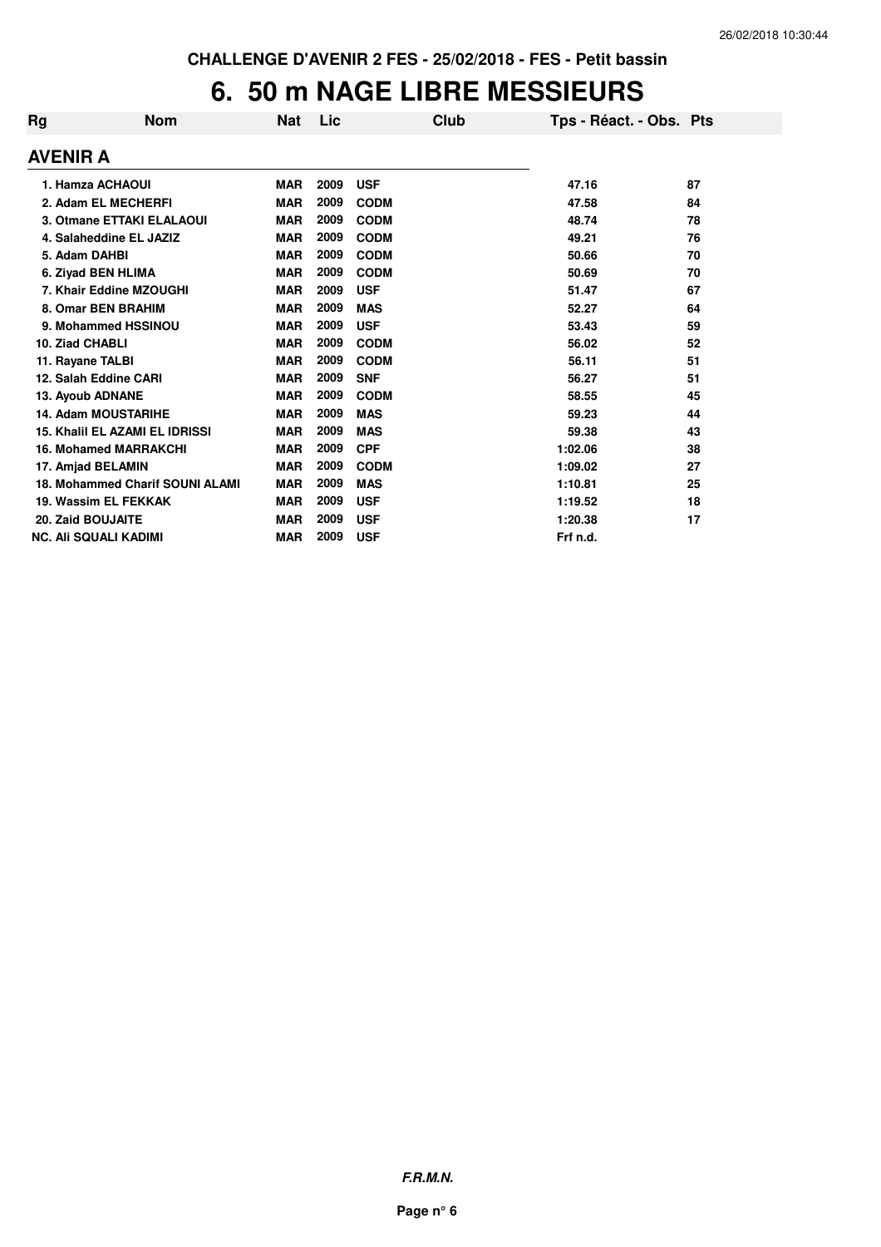### **6. 50 m NAGE LIBRE MESSIEURS**

| Rg<br><b>Nom</b>                       | Nat        | Lic  |             | Club | Tps - Réact. - Obs. Pts |    |
|----------------------------------------|------------|------|-------------|------|-------------------------|----|
| <b>AVENIR A</b>                        |            |      |             |      |                         |    |
| 1. Hamza ACHAOUI                       | <b>MAR</b> | 2009 | <b>USF</b>  |      | 47.16                   | 87 |
| 2. Adam EL MECHERFI                    | <b>MAR</b> | 2009 | <b>CODM</b> |      | 47.58                   | 84 |
| 3. Otmane ETTAKI ELALAOUI              | <b>MAR</b> | 2009 | <b>CODM</b> |      | 48.74                   | 78 |
| 4. Salaheddine EL JAZIZ                | <b>MAR</b> | 2009 | <b>CODM</b> |      | 49.21                   | 76 |
| 5. Adam DAHBI                          | <b>MAR</b> | 2009 | <b>CODM</b> |      | 50.66                   | 70 |
| 6. Ziyad BEN HLIMA                     | <b>MAR</b> | 2009 | <b>CODM</b> |      | 50.69                   | 70 |
| 7. Khair Eddine MZOUGHI                | <b>MAR</b> | 2009 | <b>USF</b>  |      | 51.47                   | 67 |
| 8. Omar BEN BRAHIM                     | <b>MAR</b> | 2009 | <b>MAS</b>  |      | 52.27                   | 64 |
| 9. Mohammed HSSINOU                    | <b>MAR</b> | 2009 | <b>USF</b>  |      | 53.43                   | 59 |
| 10. Ziad CHABLI                        | <b>MAR</b> | 2009 | <b>CODM</b> |      | 56.02                   | 52 |
| 11. Rayane TALBI                       | <b>MAR</b> | 2009 | <b>CODM</b> |      | 56.11                   | 51 |
| 12. Salah Eddine CARI                  | <b>MAR</b> | 2009 | <b>SNF</b>  |      | 56.27                   | 51 |
| 13. Ayoub ADNANE                       | <b>MAR</b> | 2009 | <b>CODM</b> |      | 58.55                   | 45 |
| <b>14. Adam MOUSTARIHE</b>             | <b>MAR</b> | 2009 | <b>MAS</b>  |      | 59.23                   | 44 |
| <b>15. Khalil EL AZAMI EL IDRISSI</b>  | <b>MAR</b> | 2009 | <b>MAS</b>  |      | 59.38                   | 43 |
| <b>16. Mohamed MARRAKCHI</b>           | <b>MAR</b> | 2009 | <b>CPF</b>  |      | 1:02.06                 | 38 |
| 17. Amjad BELAMIN                      | <b>MAR</b> | 2009 | <b>CODM</b> |      | 1:09.02                 | 27 |
| <b>18. Mohammed Charif SOUNI ALAMI</b> | <b>MAR</b> | 2009 | <b>MAS</b>  |      | 1:10.81                 | 25 |
| 19. Wassim EL FEKKAK                   | <b>MAR</b> | 2009 | <b>USF</b>  |      | 1:19.52                 | 18 |
| <b>20. Zaid BOUJAITE</b>               | <b>MAR</b> | 2009 | <b>USF</b>  |      | 1:20.38                 | 17 |
| <b>NC. Ali SQUALI KADIMI</b>           | <b>MAR</b> | 2009 | <b>USF</b>  |      | Frf n.d.                |    |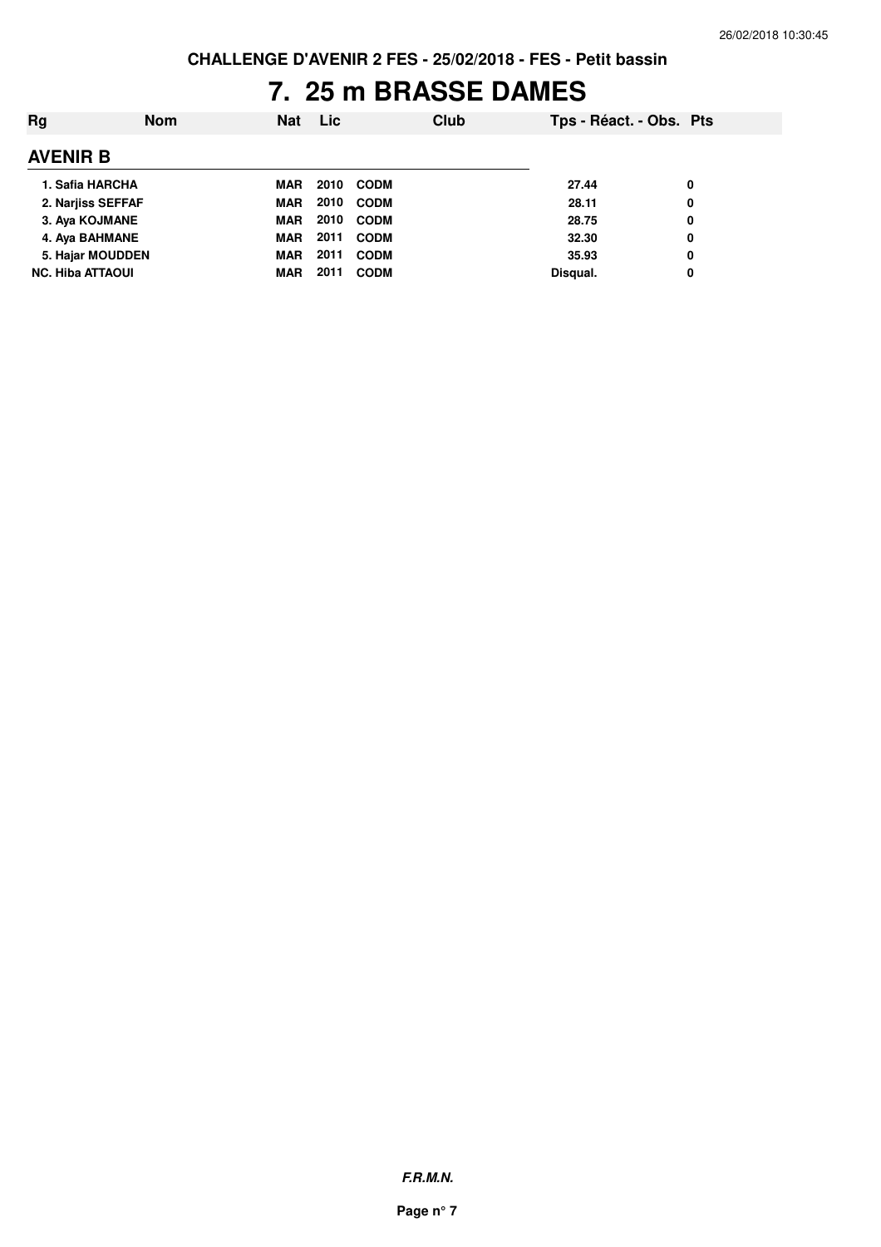# **7. 25 m BRASSE DAMES**

| Rg                      | <b>Nom</b> | <b>Nat</b> | <b>Lic</b> |             | Club | Tps - Réact. - Obs. Pts |   |
|-------------------------|------------|------------|------------|-------------|------|-------------------------|---|
| <b>AVENIR B</b>         |            |            |            |             |      |                         |   |
| 1. Safia HARCHA         |            | <b>MAR</b> | 2010       | <b>CODM</b> |      | 27.44                   | 0 |
| 2. Narjiss SEFFAF       |            | <b>MAR</b> | 2010       | <b>CODM</b> |      | 28.11                   | 0 |
| 3. Aya KOJMANE          |            | <b>MAR</b> | 2010       | <b>CODM</b> |      | 28.75                   | 0 |
| 4. Aya BAHMANE          |            | <b>MAR</b> | 2011       | <b>CODM</b> |      | 32.30                   | 0 |
| 5. Hajar MOUDDEN        |            | <b>MAR</b> | 2011       | <b>CODM</b> |      | 35.93                   | 0 |
| <b>NC. Hiba ATTAOUI</b> |            | <b>MAR</b> | 2011       | <b>CODM</b> |      | Disqual.                | 0 |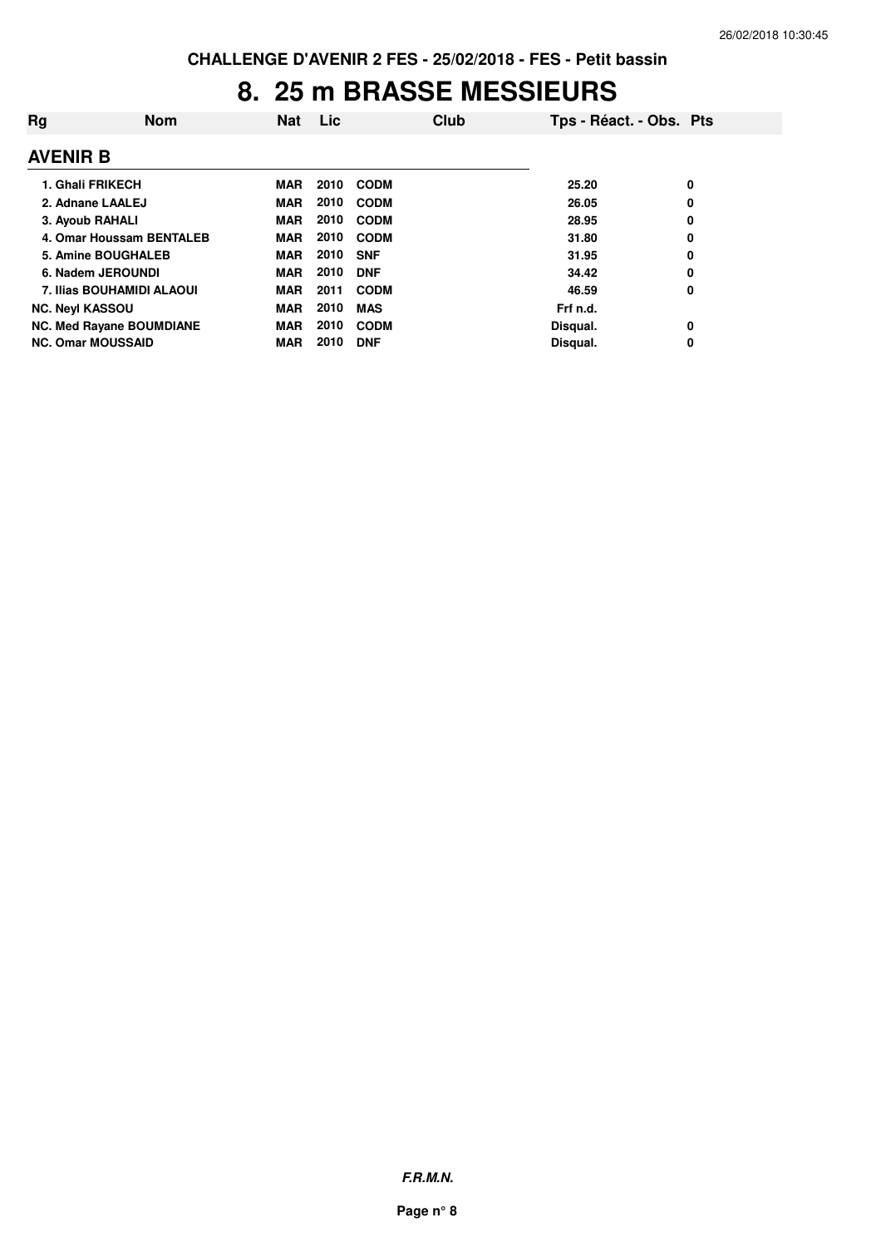### **8. 25 m BRASSE MESSIEURS**

| Rg                               | <b>Nom</b> | <b>Nat</b> | Lic  |             | Club | Tps - Réact. - Obs. Pts |   |
|----------------------------------|------------|------------|------|-------------|------|-------------------------|---|
| <b>AVENIR B</b>                  |            |            |      |             |      |                         |   |
| 1. Ghali FRIKECH                 |            | <b>MAR</b> | 2010 | <b>CODM</b> |      | 25.20                   | 0 |
| 2. Adnane LAALEJ                 |            | <b>MAR</b> | 2010 | <b>CODM</b> |      | 26.05                   | 0 |
| 3. Ayoub RAHALI                  |            | <b>MAR</b> | 2010 | <b>CODM</b> |      | 28.95                   | 0 |
| 4. Omar Houssam BENTALEB         |            | <b>MAR</b> | 2010 | <b>CODM</b> |      | 31.80                   | 0 |
| <b>5. Amine BOUGHALEB</b>        |            | <b>MAR</b> | 2010 | <b>SNF</b>  |      | 31.95                   | 0 |
| 6. Nadem JEROUNDI                |            | <b>MAR</b> | 2010 | <b>DNF</b>  |      | 34.42                   | 0 |
| <b>7. Ilias BOUHAMIDI ALAOUI</b> |            | <b>MAR</b> | 2011 | <b>CODM</b> |      | 46.59                   | 0 |
| <b>NC. Neyl KASSOU</b>           |            | <b>MAR</b> | 2010 | <b>MAS</b>  |      | Frf n.d.                |   |
| <b>NC. Med Rayane BOUMDIANE</b>  |            | <b>MAR</b> | 2010 | <b>CODM</b> |      | Disqual.                | 0 |
| <b>NC. Omar MOUSSAID</b>         |            | <b>MAR</b> | 2010 | <b>DNF</b>  |      | Disqual.                | 0 |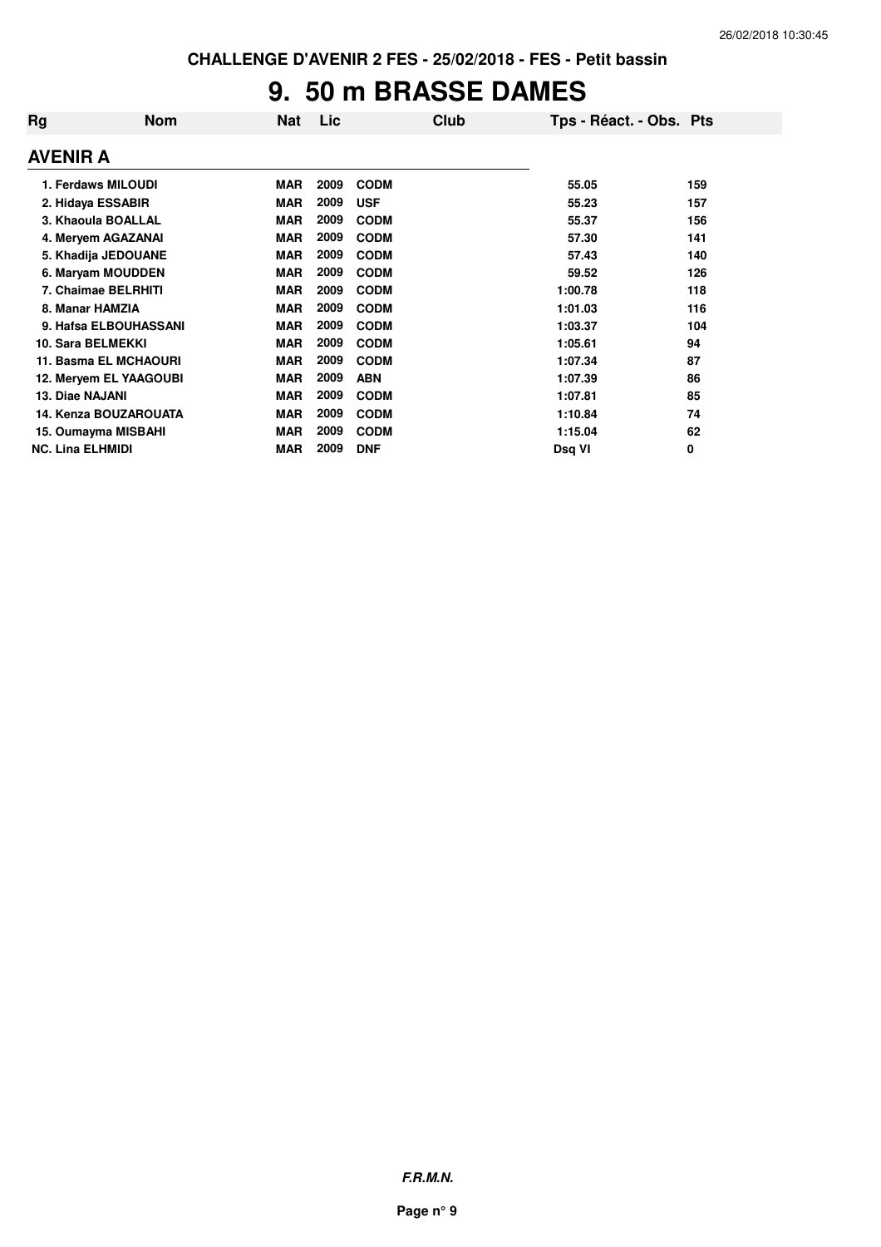# **9. 50 m BRASSE DAMES**

| Rg                      | <b>Nom</b>               | <b>Nat</b> | Lic  | Club        | Tps - Réact. - Obs. Pts |     |
|-------------------------|--------------------------|------------|------|-------------|-------------------------|-----|
| <b>AVENIR A</b>         |                          |            |      |             |                         |     |
|                         | 1. Ferdaws MILOUDI       | <b>MAR</b> | 2009 | <b>CODM</b> | 55.05                   | 159 |
|                         | 2. Hidaya ESSABIR        | <b>MAR</b> | 2009 | <b>USF</b>  | 55.23                   | 157 |
|                         | 3. Khaoula BOALLAL       | <b>MAR</b> | 2009 | <b>CODM</b> | 55.37                   | 156 |
|                         | 4. Meryem AGAZANAI       | <b>MAR</b> | 2009 | <b>CODM</b> | 57.30                   | 141 |
|                         | 5. Khadija JEDOUANE      | <b>MAR</b> | 2009 | <b>CODM</b> | 57.43                   | 140 |
|                         | 6. Maryam MOUDDEN        | <b>MAR</b> | 2009 | <b>CODM</b> | 59.52                   | 126 |
|                         | 7. Chaimae BELRHITI      | <b>MAR</b> | 2009 | <b>CODM</b> | 1:00.78                 | 118 |
|                         | 8. Manar HAMZIA          | <b>MAR</b> | 2009 | <b>CODM</b> | 1:01.03                 | 116 |
|                         | 9. Hafsa ELBOUHASSANI    | <b>MAR</b> | 2009 | <b>CODM</b> | 1:03.37                 | 104 |
|                         | <b>10. Sara BELMEKKI</b> | <b>MAR</b> | 2009 | <b>CODM</b> | 1:05.61                 | 94  |
|                         | 11. Basma EL MCHAOURI    | <b>MAR</b> | 2009 | <b>CODM</b> | 1:07.34                 | 87  |
|                         | 12. Meryem EL YAAGOUBI   | <b>MAR</b> | 2009 | <b>ABN</b>  | 1:07.39                 | 86  |
| 13. Diae NAJANI         |                          | <b>MAR</b> | 2009 | <b>CODM</b> | 1:07.81                 | 85  |
|                         | 14. Kenza BOUZAROUATA    | <b>MAR</b> | 2009 | <b>CODM</b> | 1:10.84                 | 74  |
|                         | 15. Oumayma MISBAHI      | <b>MAR</b> | 2009 | <b>CODM</b> | 1:15.04                 | 62  |
| <b>NC. Lina ELHMIDI</b> |                          | <b>MAR</b> | 2009 | <b>DNF</b>  | Dsg VI                  | 0   |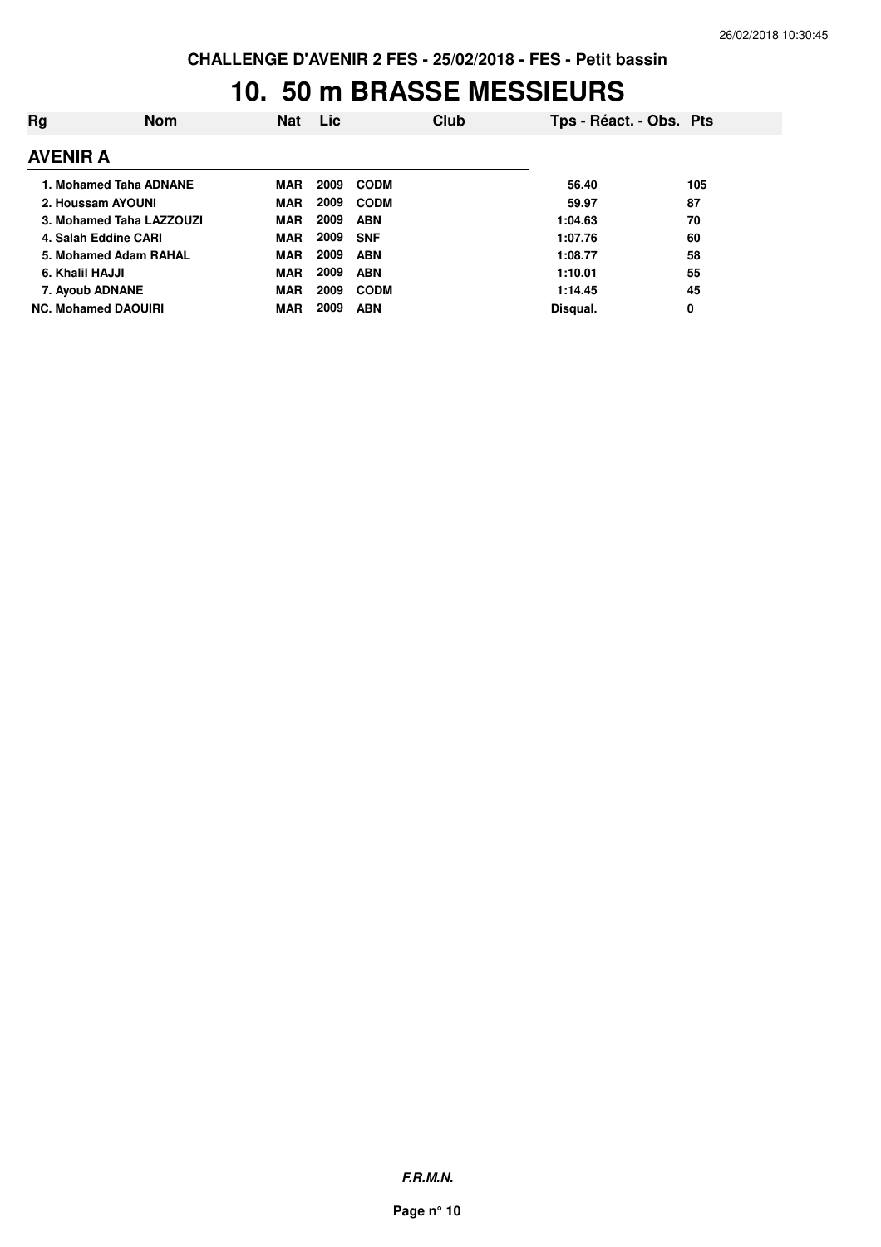#### **10. 50 m BRASSE MESSIEURS**

| Rg                         | <b>Nom</b> | Nat        | <b>Lic</b> |             | Club | Tps - Réact. - Obs. Pts |     |
|----------------------------|------------|------------|------------|-------------|------|-------------------------|-----|
| <b>AVENIR A</b>            |            |            |            |             |      |                         |     |
| 1. Mohamed Taha ADNANE     |            | <b>MAR</b> | 2009       | <b>CODM</b> |      | 56.40                   | 105 |
| 2. Houssam AYOUNI          |            | <b>MAR</b> | 2009       | <b>CODM</b> |      | 59.97                   | 87  |
| 3. Mohamed Taha LAZZOUZI   |            | <b>MAR</b> | 2009       | <b>ABN</b>  |      | 1:04.63                 | 70  |
| 4. Salah Eddine CARI       |            | <b>MAR</b> | 2009       | <b>SNF</b>  |      | 1:07.76                 | 60  |
| 5. Mohamed Adam RAHAL      |            | <b>MAR</b> | 2009       | <b>ABN</b>  |      | 1:08.77                 | 58  |
| 6. Khalil HAJJI            |            | <b>MAR</b> | 2009       | <b>ABN</b>  |      | 1:10.01                 | 55  |
| 7. Ayoub ADNANE            |            | <b>MAR</b> | 2009       | <b>CODM</b> |      | 1:14.45                 | 45  |
| <b>NC. Mohamed DAOUIRI</b> |            | <b>MAR</b> | 2009       | <b>ABN</b>  |      | Disqual.                | 0   |

**F.R.M.N.**

**Page n° 10**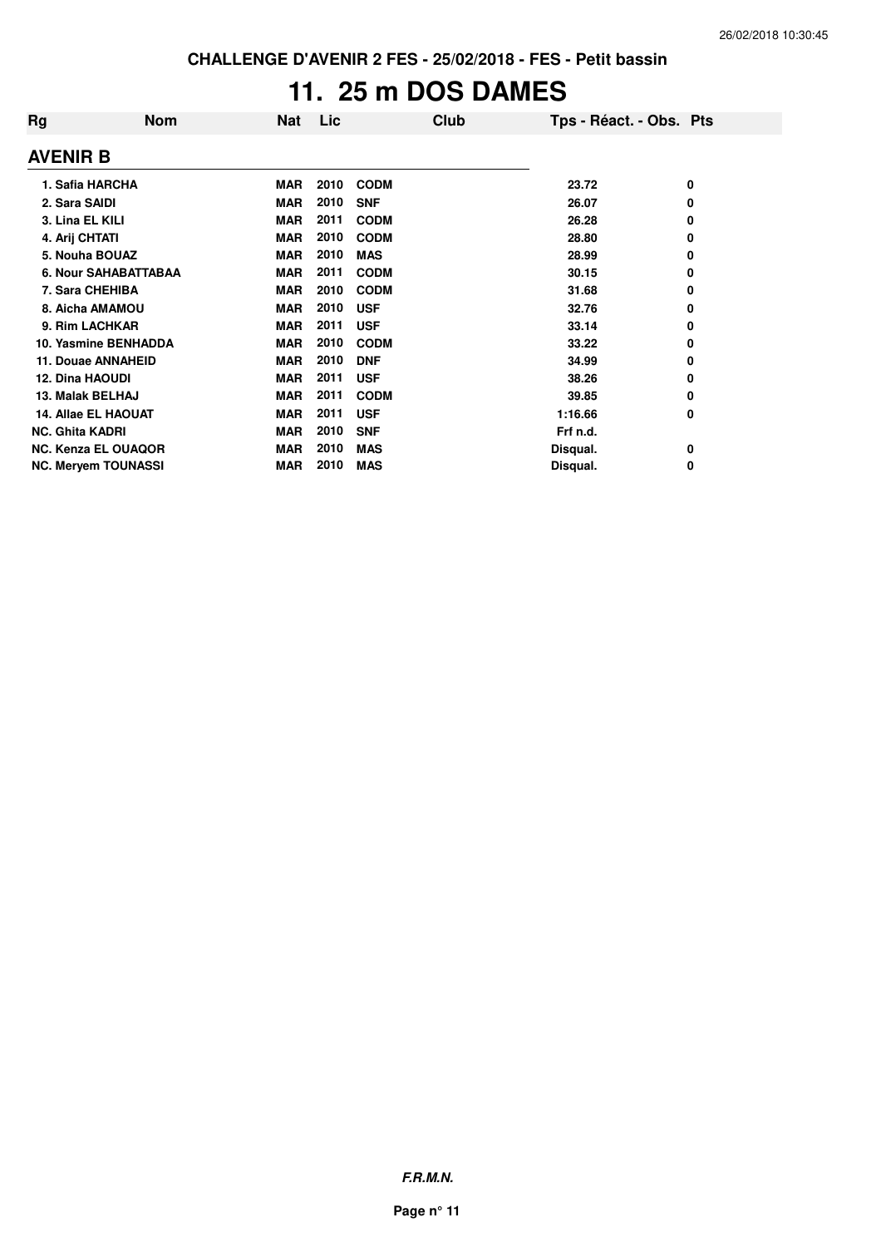# **11. 25 m DOS DAMES**

| Rg                     | <b>Nom</b>                  | <b>Nat</b> | Lic. |             | Club | Tps - Réact. - Obs. Pts |   |
|------------------------|-----------------------------|------------|------|-------------|------|-------------------------|---|
| <b>AVENIR B</b>        |                             |            |      |             |      |                         |   |
|                        | 1. Safia HARCHA             | <b>MAR</b> | 2010 | <b>CODM</b> |      | 23.72                   | 0 |
| 2. Sara SAIDI          |                             | <b>MAR</b> | 2010 | <b>SNF</b>  |      | 26.07                   | 0 |
| 3. Lina EL KILI        |                             | <b>MAR</b> | 2011 | <b>CODM</b> |      | 26.28                   | 0 |
| 4. Arij CHTATI         |                             | <b>MAR</b> | 2010 | <b>CODM</b> |      | 28.80                   | 0 |
|                        | 5. Nouha BOUAZ              | <b>MAR</b> | 2010 | <b>MAS</b>  |      | 28.99                   | 0 |
|                        | <b>6. Nour SAHABATTABAA</b> | MAR        | 2011 | <b>CODM</b> |      | 30.15                   | 0 |
|                        | 7. Sara CHEHIBA             | <b>MAR</b> | 2010 | <b>CODM</b> |      | 31.68                   | 0 |
|                        | 8. Aicha AMAMOU             | MAR        | 2010 | <b>USF</b>  |      | 32.76                   | 0 |
|                        | 9. Rim LACHKAR              | <b>MAR</b> | 2011 | <b>USF</b>  |      | 33.14                   | 0 |
|                        | 10. Yasmine BENHADDA        | <b>MAR</b> | 2010 | <b>CODM</b> |      | 33.22                   | 0 |
|                        | 11. Douae ANNAHEID          | <b>MAR</b> | 2010 | <b>DNF</b>  |      | 34.99                   | 0 |
| <b>12. Dina HAOUDI</b> |                             | <b>MAR</b> | 2011 | <b>USF</b>  |      | 38.26                   | 0 |
| 13. Malak BELHAJ       |                             | MAR        | 2011 | <b>CODM</b> |      | 39.85                   | 0 |
|                        | <b>14. Allae EL HAOUAT</b>  | <b>MAR</b> | 2011 | <b>USF</b>  |      | 1:16.66                 | 0 |
| <b>NC. Ghita KADRI</b> |                             | <b>MAR</b> | 2010 | <b>SNF</b>  |      | Frf n.d.                |   |
|                        | <b>NC. Kenza EL OUAQOR</b>  | <b>MAR</b> | 2010 | <b>MAS</b>  |      | Disqual.                | 0 |
|                        | <b>NC. Meryem TOUNASSI</b>  | <b>MAR</b> | 2010 | <b>MAS</b>  |      | Disqual.                | 0 |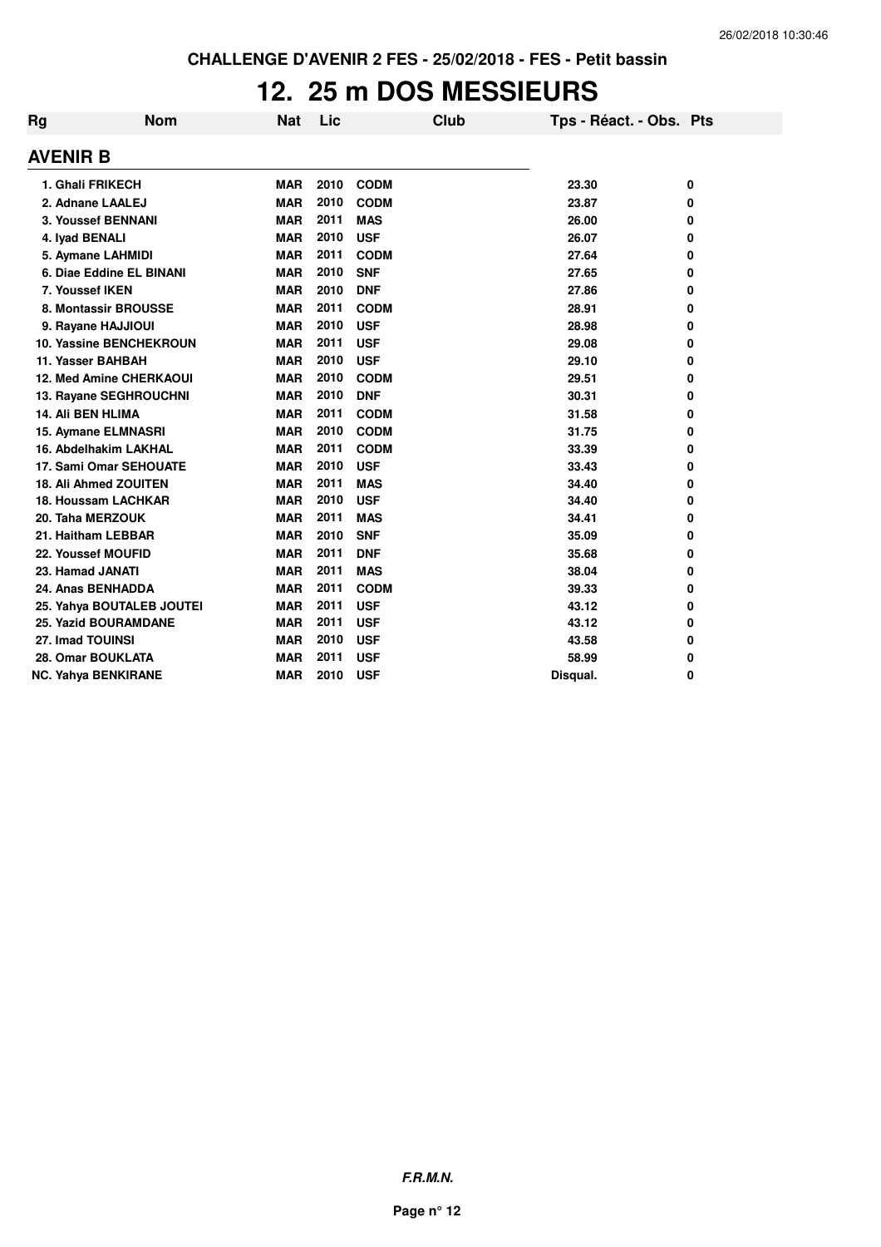# **12. 25 m DOS MESSIEURS**

| Rg                | <b>Nom</b>                     | <b>Nat</b> | Lic  |             | Club | Tps - Réact. - Obs. Pts |   |
|-------------------|--------------------------------|------------|------|-------------|------|-------------------------|---|
| <b>AVENIR B</b>   |                                |            |      |             |      |                         |   |
|                   | 1. Ghali FRIKECH               | <b>MAR</b> | 2010 | <b>CODM</b> |      | 23.30                   | 0 |
|                   | 2. Adnane LAALEJ               | <b>MAR</b> | 2010 | <b>CODM</b> |      | 23.87                   | 0 |
|                   | 3. Youssef BENNANI             | <b>MAR</b> | 2011 | <b>MAS</b>  |      | 26.00                   | 0 |
| 4. Iyad BENALI    |                                | <b>MAR</b> | 2010 | <b>USF</b>  |      | 26.07                   | 0 |
|                   | 5. Aymane LAHMIDI              | <b>MAR</b> | 2011 | <b>CODM</b> |      | 27.64                   | 0 |
|                   | 6. Diae Eddine EL BINANI       | <b>MAR</b> | 2010 | <b>SNF</b>  |      | 27.65                   | 0 |
| 7. Youssef IKEN   |                                | <b>MAR</b> | 2010 | <b>DNF</b>  |      | 27.86                   | 0 |
|                   | 8. Montassir BROUSSE           | <b>MAR</b> | 2011 | <b>CODM</b> |      | 28.91                   | 0 |
|                   | 9. Rayane HAJJIOUI             | <b>MAR</b> | 2010 | <b>USF</b>  |      | 28.98                   | 0 |
|                   | 10. Yassine BENCHEKROUN        | <b>MAR</b> | 2011 | <b>USF</b>  |      | 29.08                   | 0 |
|                   | 11. Yasser BAHBAH              | <b>MAR</b> | 2010 | <b>USF</b>  |      | 29.10                   | 0 |
|                   | <b>12. Med Amine CHERKAOUI</b> | <b>MAR</b> | 2010 | <b>CODM</b> |      | 29.51                   | 0 |
|                   | 13. Rayane SEGHROUCHNI         | <b>MAR</b> | 2010 | <b>DNF</b>  |      | 30.31                   | 0 |
| 14. Ali BEN HLIMA |                                | <b>MAR</b> | 2011 | <b>CODM</b> |      | 31.58                   | 0 |
|                   | 15. Aymane ELMNASRI            | <b>MAR</b> | 2010 | <b>CODM</b> |      | 31.75                   | 0 |
|                   | 16. Abdelhakim LAKHAL          | <b>MAR</b> | 2011 | <b>CODM</b> |      | 33.39                   | 0 |
|                   | 17. Sami Omar SEHOUATE         | <b>MAR</b> | 2010 | <b>USF</b>  |      | 33.43                   | 0 |
|                   | 18. Ali Ahmed ZOUITEN          | <b>MAR</b> | 2011 | <b>MAS</b>  |      | 34.40                   | 0 |
|                   | <b>18. Houssam LACHKAR</b>     | <b>MAR</b> | 2010 | <b>USF</b>  |      | 34.40                   | 0 |
|                   | 20. Taha MERZOUK               | <b>MAR</b> | 2011 | <b>MAS</b>  |      | 34.41                   | 0 |
|                   | 21. Haitham LEBBAR             | <b>MAR</b> | 2010 | <b>SNF</b>  |      | 35.09                   | 0 |
|                   | 22. Youssef MOUFID             | <b>MAR</b> | 2011 | <b>DNF</b>  |      | 35.68                   | 0 |
| 23. Hamad JANATI  |                                | <b>MAR</b> | 2011 | <b>MAS</b>  |      | 38.04                   | 0 |
|                   | 24. Anas BENHADDA              | <b>MAR</b> | 2011 | <b>CODM</b> |      | 39.33                   | 0 |
|                   | 25. Yahya BOUTALEB JOUTEI      | <b>MAR</b> | 2011 | <b>USF</b>  |      | 43.12                   | 0 |
|                   | <b>25. Yazid BOURAMDANE</b>    | <b>MAR</b> | 2011 | <b>USF</b>  |      | 43.12                   | 0 |
| 27. Imad TOUINSI  |                                | <b>MAR</b> | 2010 | <b>USF</b>  |      | 43.58                   | 0 |
|                   | 28. Omar BOUKLATA              | <b>MAR</b> | 2011 | <b>USF</b>  |      | 58.99                   | 0 |
|                   | <b>NC. Yahya BENKIRANE</b>     | <b>MAR</b> | 2010 | <b>USF</b>  |      | Disqual.                | 0 |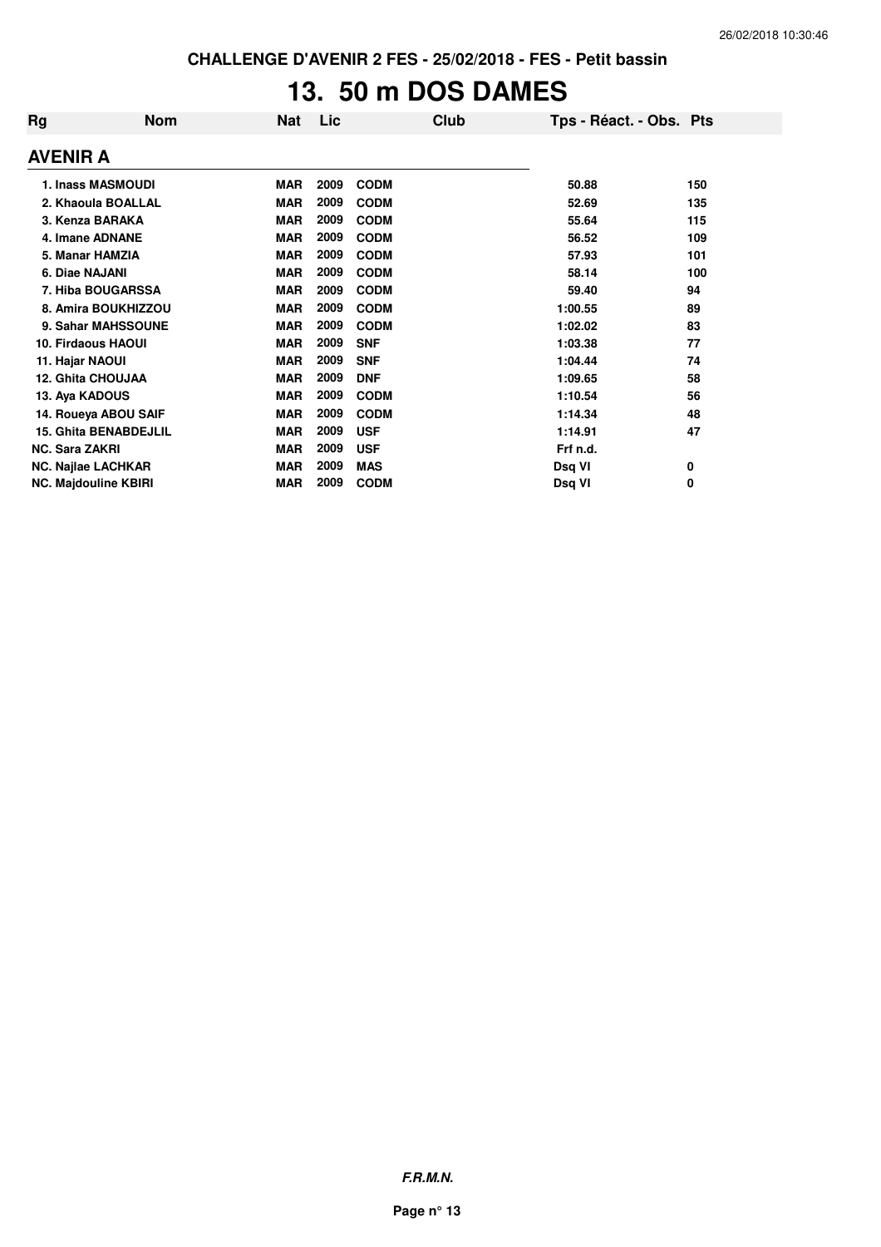# **13. 50 m DOS DAMES**

| Rg                    | <b>Nom</b>                   | <b>Nat</b> | Lic  | Club        | Tps - Réact. - Obs. Pts |     |
|-----------------------|------------------------------|------------|------|-------------|-------------------------|-----|
| <b>AVENIR A</b>       |                              |            |      |             |                         |     |
|                       | <b>1. Inass MASMOUDI</b>     | <b>MAR</b> | 2009 | <b>CODM</b> | 50.88                   | 150 |
|                       | 2. Khaoula BOALLAL           | <b>MAR</b> | 2009 | <b>CODM</b> | 52.69                   | 135 |
|                       | 3. Kenza BARAKA              | <b>MAR</b> | 2009 | <b>CODM</b> | 55.64                   | 115 |
|                       | 4. Imane ADNANE              | <b>MAR</b> | 2009 | <b>CODM</b> | 56.52                   | 109 |
| 5. Manar HAMZIA       |                              | <b>MAR</b> | 2009 | <b>CODM</b> | 57.93                   | 101 |
| 6. Diae NAJANI        |                              | <b>MAR</b> | 2009 | <b>CODM</b> | 58.14                   | 100 |
|                       | 7. Hiba BOUGARSSA            | <b>MAR</b> | 2009 | <b>CODM</b> | 59.40                   | 94  |
|                       | 8. Amira BOUKHIZZOU          | <b>MAR</b> | 2009 | <b>CODM</b> | 1:00.55                 | 89  |
|                       | 9. Sahar MAHSSOUNE           | <b>MAR</b> | 2009 | <b>CODM</b> | 1:02.02                 | 83  |
|                       | <b>10. Firdaous HAOUI</b>    | <b>MAR</b> | 2009 | <b>SNF</b>  | 1:03.38                 | 77  |
| 11. Hajar NAOUI       |                              | <b>MAR</b> | 2009 | <b>SNF</b>  | 1:04.44                 | 74  |
|                       | <b>12. Ghita CHOUJAA</b>     | <b>MAR</b> | 2009 | <b>DNF</b>  | 1:09.65                 | 58  |
| 13. Aya KADOUS        |                              | <b>MAR</b> | 2009 | <b>CODM</b> | 1:10.54                 | 56  |
|                       | 14. Roueya ABOU SAIF         | <b>MAR</b> | 2009 | <b>CODM</b> | 1:14.34                 | 48  |
|                       | <b>15. Ghita BENABDEJLIL</b> | <b>MAR</b> | 2009 | <b>USF</b>  | 1:14.91                 | 47  |
| <b>NC. Sara ZAKRI</b> |                              | <b>MAR</b> | 2009 | <b>USF</b>  | Frf n.d.                |     |
|                       | NC. Najlae LACHKAR           | <b>MAR</b> | 2009 | <b>MAS</b>  | Dsq VI                  | 0   |
|                       | <b>NC. Majdouline KBIRI</b>  | <b>MAR</b> | 2009 | <b>CODM</b> | Dsq VI                  | 0   |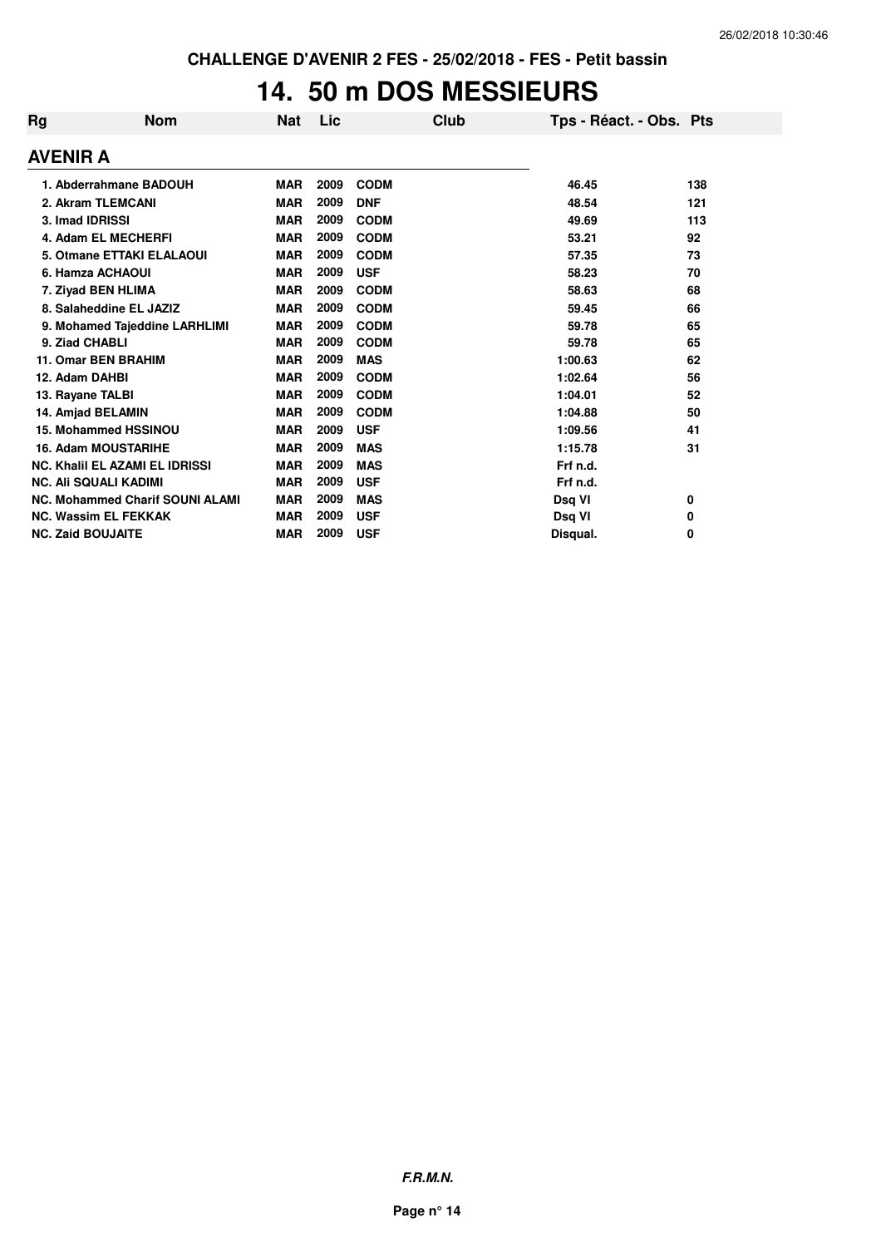## **14. 50 m DOS MESSIEURS**

| Rg                       | <b>Nom</b>                             | Nat        | Lic  |             | Club | Tps - Réact. - Obs. Pts |     |
|--------------------------|----------------------------------------|------------|------|-------------|------|-------------------------|-----|
| <b>AVENIR A</b>          |                                        |            |      |             |      |                         |     |
|                          | 1. Abderrahmane BADOUH                 | <b>MAR</b> | 2009 | <b>CODM</b> |      | 46.45                   | 138 |
|                          | 2. Akram TLEMCANI                      | <b>MAR</b> | 2009 | <b>DNF</b>  |      | 48.54                   | 121 |
|                          | 3. Imad IDRISSI                        | <b>MAR</b> | 2009 | <b>CODM</b> |      | 49.69                   | 113 |
|                          | 4. Adam EL MECHERFI                    | <b>MAR</b> | 2009 | <b>CODM</b> |      | 53.21                   | 92  |
|                          | 5. Otmane ETTAKI ELALAOUI              | <b>MAR</b> | 2009 | <b>CODM</b> |      | 57.35                   | 73  |
|                          | 6. Hamza ACHAOUI                       | <b>MAR</b> | 2009 | <b>USF</b>  |      | 58.23                   | 70  |
|                          | 7. Ziyad BEN HLIMA                     | <b>MAR</b> | 2009 | <b>CODM</b> |      | 58.63                   | 68  |
|                          | 8. Salaheddine EL JAZIZ                | <b>MAR</b> | 2009 | <b>CODM</b> |      | 59.45                   | 66  |
|                          | 9. Mohamed Tajeddine LARHLIMI          | <b>MAR</b> | 2009 | <b>CODM</b> |      | 59.78                   | 65  |
|                          | 9. Ziad CHABLI                         | <b>MAR</b> | 2009 | <b>CODM</b> |      | 59.78                   | 65  |
|                          | 11. Omar BEN BRAHIM                    | <b>MAR</b> | 2009 | <b>MAS</b>  |      | 1:00.63                 | 62  |
|                          | 12. Adam DAHBI                         | <b>MAR</b> | 2009 | <b>CODM</b> |      | 1:02.64                 | 56  |
|                          | 13. Rayane TALBI                       | <b>MAR</b> | 2009 | <b>CODM</b> |      | 1:04.01                 | 52  |
|                          | 14. Amjad BELAMIN                      | <b>MAR</b> | 2009 | <b>CODM</b> |      | 1:04.88                 | 50  |
|                          | 15. Mohammed HSSINOU                   | <b>MAR</b> | 2009 | <b>USF</b>  |      | 1:09.56                 | 41  |
|                          | <b>16. Adam MOUSTARIHE</b>             | <b>MAR</b> | 2009 | <b>MAS</b>  |      | 1:15.78                 | 31  |
|                          | <b>NC. Khalil EL AZAMI EL IDRISSI</b>  | <b>MAR</b> | 2009 | <b>MAS</b>  |      | Frf n.d.                |     |
|                          | <b>NC. Ali SQUALI KADIMI</b>           | <b>MAR</b> | 2009 | <b>USF</b>  |      | Frf n.d.                |     |
|                          | <b>NC. Mohammed Charif SOUNI ALAMI</b> | <b>MAR</b> | 2009 | <b>MAS</b>  |      | Dsq VI                  | 0   |
|                          | <b>NC. Wassim EL FEKKAK</b>            | <b>MAR</b> | 2009 | <b>USF</b>  |      | Dsq VI                  | 0   |
| <b>NC. Zaid BOUJAITE</b> |                                        | <b>MAR</b> | 2009 | <b>USF</b>  |      | Disqual.                | 0   |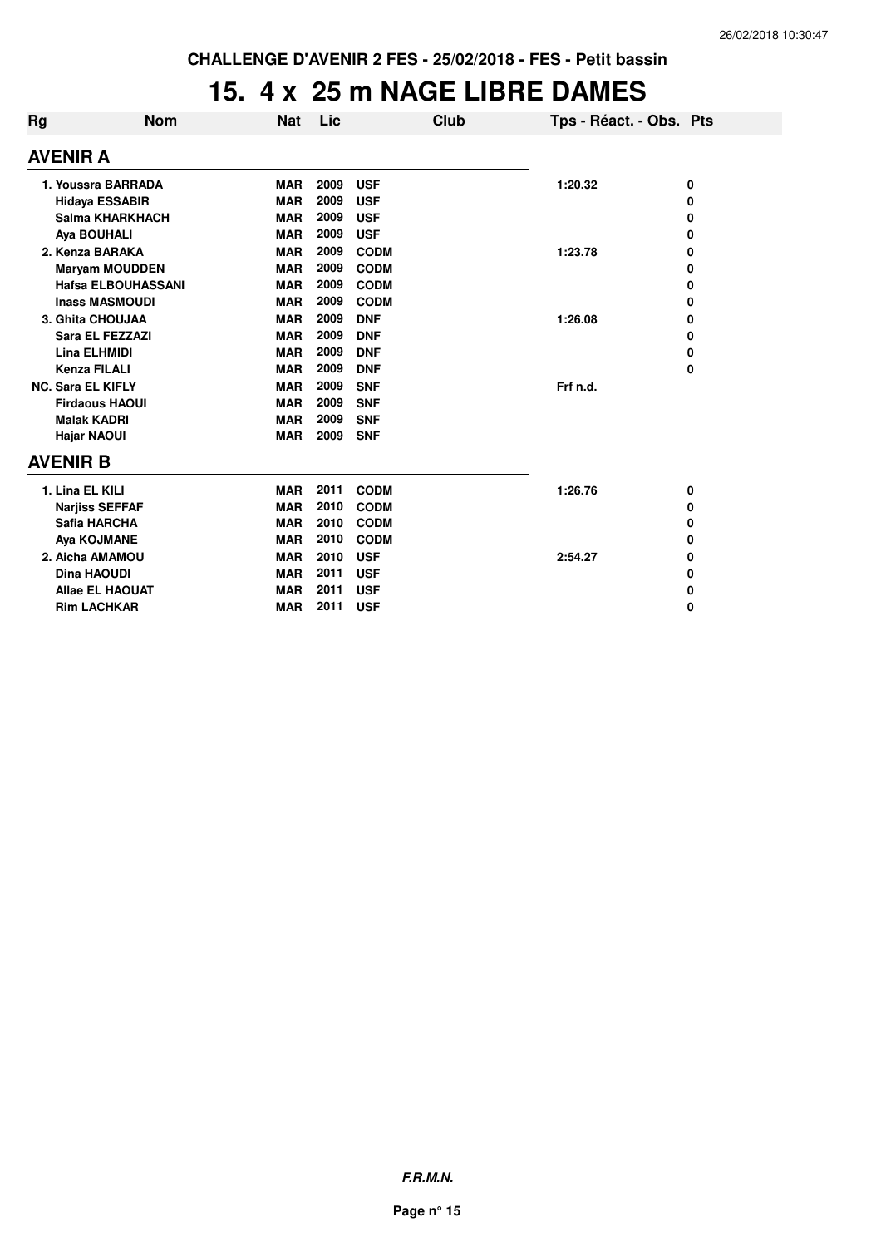### **15. 4 x 25 m NAGE LIBRE DAMES**

| Rg                 | <b>Nom</b>                | <b>Nat</b> | Lic  | Club        | Tps - Réact. - Obs. Pts |   |  |  |  |
|--------------------|---------------------------|------------|------|-------------|-------------------------|---|--|--|--|
|                    | <b>AVENIR A</b>           |            |      |             |                         |   |  |  |  |
| 1. Youssra BARRADA |                           | <b>MAR</b> | 2009 | <b>USF</b>  | 1:20.32                 | 0 |  |  |  |
|                    | <b>Hidaya ESSABIR</b>     | <b>MAR</b> | 2009 | <b>USF</b>  |                         | 0 |  |  |  |
|                    | Salma KHARKHACH           | <b>MAR</b> | 2009 | <b>USF</b>  |                         | 0 |  |  |  |
|                    | <b>Aya BOUHALI</b>        | <b>MAR</b> | 2009 | <b>USF</b>  |                         | 0 |  |  |  |
|                    | 2. Kenza BARAKA           | <b>MAR</b> | 2009 | <b>CODM</b> | 1:23.78                 | 0 |  |  |  |
|                    | <b>Maryam MOUDDEN</b>     | <b>MAR</b> | 2009 | <b>CODM</b> |                         | 0 |  |  |  |
|                    | <b>Hafsa ELBOUHASSANI</b> | <b>MAR</b> | 2009 | <b>CODM</b> |                         | 0 |  |  |  |
|                    | <b>Inass MASMOUDI</b>     | <b>MAR</b> | 2009 | <b>CODM</b> |                         | 0 |  |  |  |
| 3. Ghita CHOUJAA   |                           | <b>MAR</b> | 2009 | <b>DNF</b>  | 1:26.08                 | 0 |  |  |  |
|                    | Sara EL FEZZAZI           | <b>MAR</b> | 2009 | <b>DNF</b>  |                         | 0 |  |  |  |
|                    | Lina ELHMIDI              | <b>MAR</b> | 2009 | <b>DNF</b>  |                         | 0 |  |  |  |
|                    | <b>Kenza FILALI</b>       | <b>MAR</b> | 2009 | <b>DNF</b>  |                         | 0 |  |  |  |
|                    | <b>NC. Sara EL KIFLY</b>  | <b>MAR</b> | 2009 | <b>SNF</b>  | Frf n.d.                |   |  |  |  |
|                    | <b>Firdaous HAOUI</b>     | <b>MAR</b> | 2009 | <b>SNF</b>  |                         |   |  |  |  |
|                    | <b>Malak KADRI</b>        | <b>MAR</b> | 2009 | <b>SNF</b>  |                         |   |  |  |  |
|                    | <b>Hajar NAOUI</b>        | <b>MAR</b> | 2009 | <b>SNF</b>  |                         |   |  |  |  |
|                    | <b>AVENIR B</b>           |            |      |             |                         |   |  |  |  |
|                    | 1. Lina EL KILI           | <b>MAR</b> | 2011 | <b>CODM</b> | 1:26.76                 | 0 |  |  |  |
|                    | <b>Narjiss SEFFAF</b>     | <b>MAR</b> | 2010 | <b>CODM</b> |                         | 0 |  |  |  |
|                    | Safia HARCHA              | <b>MAR</b> | 2010 | <b>CODM</b> |                         | 0 |  |  |  |
|                    | Aya KOJMANE               | <b>MAR</b> | 2010 | <b>CODM</b> |                         | 0 |  |  |  |
|                    | 2. Aicha AMAMOU           | <b>MAR</b> | 2010 | <b>USF</b>  | 2:54.27                 | 0 |  |  |  |
|                    | <b>Dina HAOUDI</b>        | <b>MAR</b> | 2011 | <b>USF</b>  |                         | 0 |  |  |  |
|                    | <b>Allae EL HAOUAT</b>    | <b>MAR</b> | 2011 | <b>USF</b>  |                         | 0 |  |  |  |
|                    | <b>Rim LACHKAR</b>        | <b>MAR</b> | 2011 | <b>USF</b>  |                         | 0 |  |  |  |